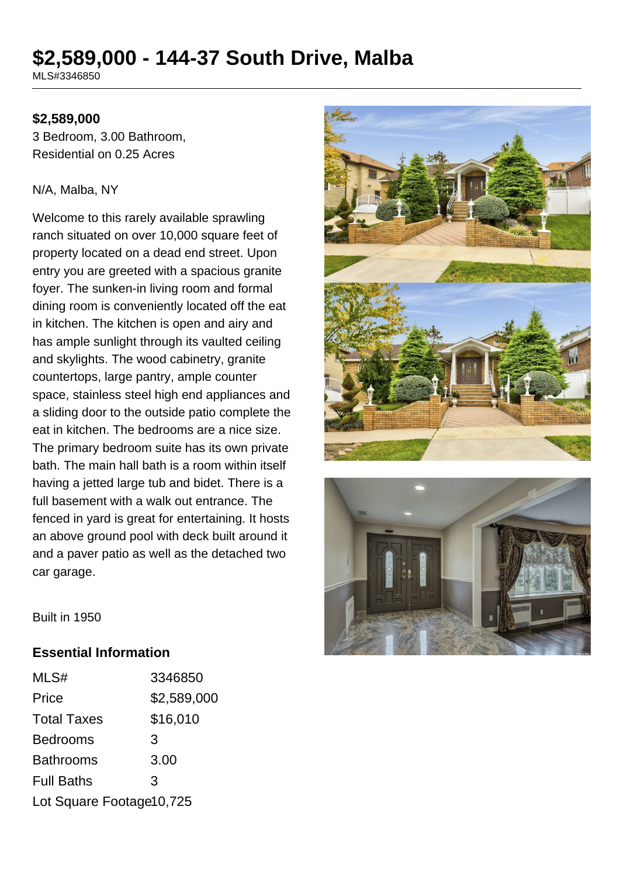# **\$2,589,000 - 144-37 South Drive, Malba**

MLS#3346850

### **\$2,589,000**

3 Bedroom, 3.00 Bathroom, Residential on 0.25 Acres

#### N/A, Malba, NY

Welcome to this rarely available sprawling ranch situated on over 10,000 square feet of property located on a dead end street. Upon entry you are greeted with a spacious granite foyer. The sunken-in living room and formal dining room is conveniently located off the eat in kitchen. The kitchen is open and airy and has ample sunlight through its vaulted ceiling and skylights. The wood cabinetry, granite countertops, large pantry, ample counter space, stainless steel high end appliances and a sliding door to the outside patio complete the eat in kitchen. The bedrooms are a nice size. The primary bedroom suite has its own private bath. The main hall bath is a room within itself having a jetted large tub and bidet. There is a full basement with a walk out entrance. The fenced in yard is great for entertaining. It hosts an above ground pool with deck built around it and a paver patio as well as the detached two car garage.





Built in 1950

### **Essential Information**

| MLS#                     | 3346850     |
|--------------------------|-------------|
| Price                    | \$2,589,000 |
| <b>Total Taxes</b>       | \$16,010    |
| <b>Bedrooms</b>          | 3           |
| <b>Bathrooms</b>         | 3.00        |
| <b>Full Baths</b>        | 3           |
| Lot Square Footage10,725 |             |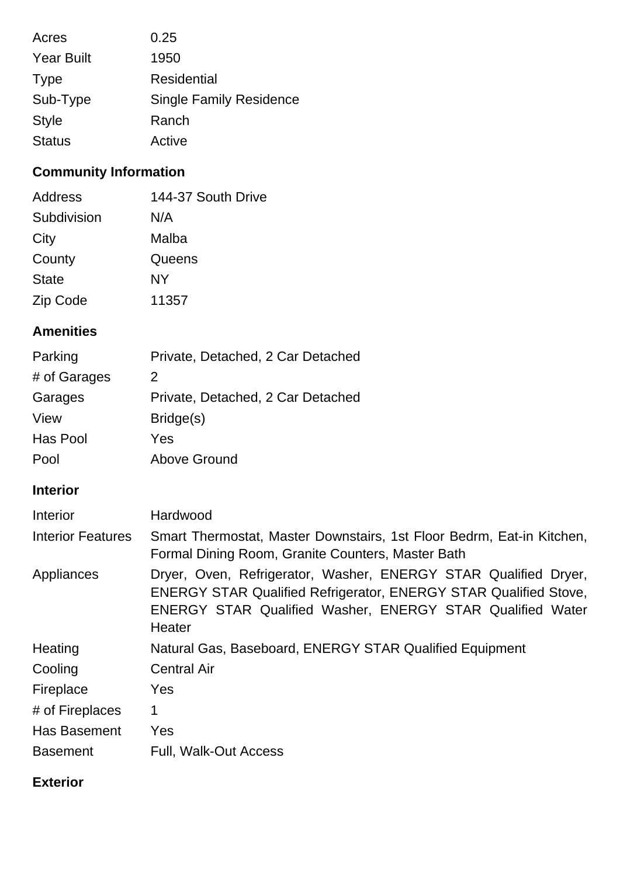| Acres             | 0.25                           |
|-------------------|--------------------------------|
| <b>Year Built</b> | 1950                           |
| <b>Type</b>       | Residential                    |
| Sub-Type          | <b>Single Family Residence</b> |
| <b>Style</b>      | Ranch                          |
| <b>Status</b>     | Active                         |

## **Community Information**

| Address      | 144-37 South Drive |
|--------------|--------------------|
| Subdivision  | N/A                |
| City         | Malba              |
| County       | Queens             |
| <b>State</b> | NY                 |
| Zip Code     | 11357              |

## **Amenities**

| Parking      | Private, Detached, 2 Car Detached |
|--------------|-----------------------------------|
| # of Garages | 2                                 |
| Garages      | Private, Detached, 2 Car Detached |
| View         | Bridge(s)                         |
| Has Pool     | Yes                               |
| Pool         | <b>Above Ground</b>               |

## **Interior**

| Interior                 | Hardwood                                                                                                                                                                                                                 |  |
|--------------------------|--------------------------------------------------------------------------------------------------------------------------------------------------------------------------------------------------------------------------|--|
| <b>Interior Features</b> | Smart Thermostat, Master Downstairs, 1st Floor Bedrm, Eat-in Kitchen,<br>Formal Dining Room, Granite Counters, Master Bath                                                                                               |  |
| Appliances               | Dryer, Oven, Refrigerator, Washer, ENERGY STAR Qualified Dryer,<br><b>ENERGY STAR Qualified Refrigerator, ENERGY STAR Qualified Stove,</b><br><b>ENERGY STAR Qualified Washer, ENERGY STAR Qualified Water</b><br>Heater |  |
| Heating                  | Natural Gas, Baseboard, ENERGY STAR Qualified Equipment                                                                                                                                                                  |  |
| Cooling                  | <b>Central Air</b>                                                                                                                                                                                                       |  |
| Fireplace                | Yes                                                                                                                                                                                                                      |  |
| # of Fireplaces          | 1                                                                                                                                                                                                                        |  |
| Has Basement             | Yes                                                                                                                                                                                                                      |  |
| <b>Basement</b>          | Full, Walk-Out Access                                                                                                                                                                                                    |  |

## **Exterior**